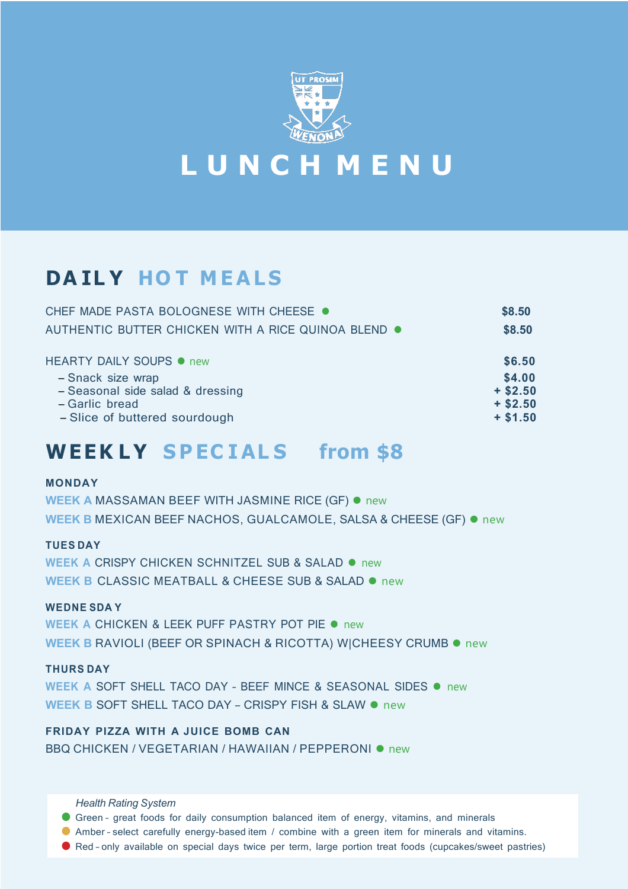

**L U N C H M E N U**

# **DA IL Y HO T M EA L S**

| CHEF MADE PASTA BOLOGNESE WITH CHEESE ●             | \$8.50     |
|-----------------------------------------------------|------------|
| AUTHENTIC BUTTER CHICKEN WITH A RICE QUINOA BLEND . | \$8.50     |
| <b>HEARTY DAILY SOUPS ● new</b>                     | \$6.50     |
| - Snack size wrap                                   | \$4.00     |
| - Seasonal side salad & dressing                    | $+$ \$2.50 |
| - Garlic bread                                      | $+ $2.50$  |
| - Slice of buttered sourdough                       | $+ $1.50$  |

### **WEEK L Y S P EC I AL S from \$8**

#### **MONDAY**

**WEEK A** MASSAMAN BEEF WITH JASMINE RICE (GF) ⚫ new **WEEK B** MEXICAN BEEF NACHOS, GUALCAMOLE, SALSA & CHEESE (GF) ⚫ new

#### **TUES DAY**

**WEEK A** CRISPY CHICKEN SCHNITZEL SUB & SALAD ⚫ new **WEEK B** CLASSIC MEATBALL & CHEESE SUB & SALAD ⚫ new

#### **WEDNE SDA Y**

**WEEK A** CHICKEN & LEEK PUFF PASTRY POT PIE ⚫ new **WEEK B** RAVIOLI (BEEF OR SPINACH & RICOTTA) W|CHEESY CRUMB ⚫ new

#### **THURS DAY**

**WEEK A** SOFT SHELL TACO DAY – BEEF MINCE & SEASONAL SIDES ⚫ new **WEEK B** SOFT SHELL TACO DAY – CRISPY FISH & SLAW ⚫ new

**FRIDAY PIZZA WITH A JUICE BOMB CAN** BBQ CHICKEN / VEGETARIAN / HAWAIIAN / PEPPERONI · new

*Health Rating System*

● Green – great foods for daily consumption balanced item of energy, vitamins, and minerals

- Amber select carefully energy-based item / combine with a green item for minerals and vitamins.
- Red only available on special days twice per term, large portion treat foods (cupcakes/sweet pastries)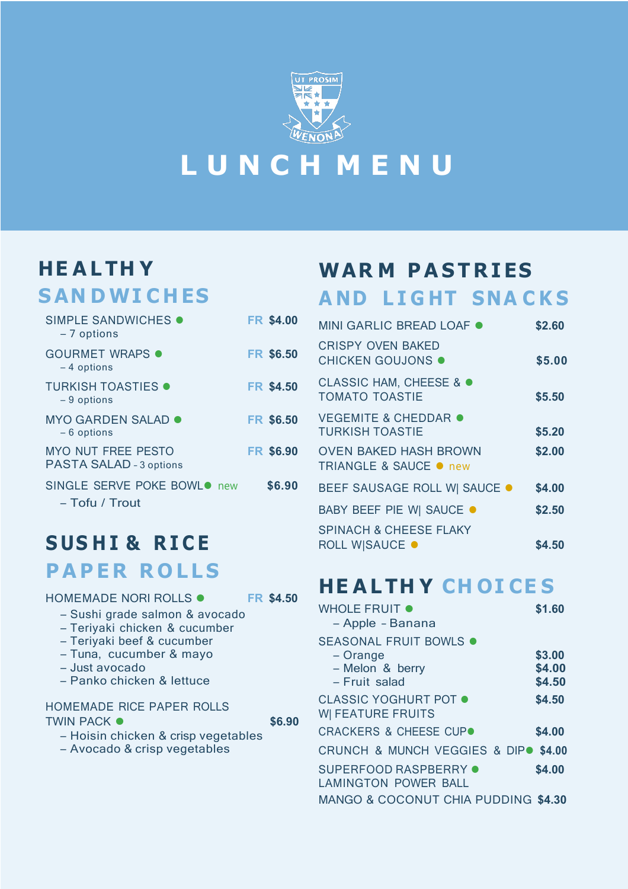

# **L U N C H M E N U**

# **HE A L TH Y**

### **SAN DWI C H ES**

| SIMPLE SANDWICHES .<br>- 7 options                   | <b>FR \$4.00</b> |
|------------------------------------------------------|------------------|
| <b>GOURMET WRAPS •</b><br>$-4$ options               | <b>FR \$6.50</b> |
| <b>TURKISH TOASTIES .</b><br>$-9$ options            | <b>FR \$4.50</b> |
| MYO GARDEN SALAD ●<br>- 6 options                    | <b>FR \$6.50</b> |
| <b>MYO NUT FREE PESTO</b><br>PASTA SALAD - 3 options | <b>FR \$6.90</b> |
| SINGLE SERVE POKE BOWL● new<br>– Tofu / Trout        | \$6.90           |

## **S US H I & R I C E P A P E R R O LL S**

HOMEMADE NORI ROLLS ⚫ **FR \$4.50**

- Sushi grade salmon & avocado
- Teriyaki chicken & cucumber
- Teriyaki beef & cucumber
- Tuna, cucumber & mayo
- Just avocado
- Panko chicken & lettuce

#### HOMEMADE RICE PAPER ROLLS TWIN PACK ● **\$6.90**

– Hoisin chicken & crisp vegetables – Avocado & crisp vegetables

# **WAR M P A S T R IES**

# **A ND L I G HT SNA C K S**

| MINI GARLIC BREAD LOAF .                                          | \$2.60 |
|-------------------------------------------------------------------|--------|
| <b>CRISPY OVEN BAKED</b><br><b>CHICKEN GOUJONS .</b>              | \$5.00 |
| <b>CLASSIC HAM, CHEESE &amp; ●</b><br><b>TOMATO TOASTIE</b>       | \$5.50 |
| <b>VEGEMITE &amp; CHEDDAR ●</b><br><b>TURKISH TOASTIE</b>         | \$5.20 |
| <b>OVEN BAKED HASH BROWN</b><br><b>TRIANGLE &amp; SAUCE ● new</b> | \$2.00 |
| <b>BEEF SAUSAGE ROLL W  SAUCE ●</b>                               | \$4.00 |
| <b>BABY BEEF PIE W  SAUCE ●</b>                                   | \$2.50 |
| <b>SPINACH &amp; CHEESE FLAKY</b>                                 |        |
| <b>ROLL W SAUCE ●</b>                                             | \$4.50 |

# **HE A LTH Y CH OI CE S**

| <b>WHOLE FRUIT ●</b><br>- Apple - Banana                                       | \$1.60                     |
|--------------------------------------------------------------------------------|----------------------------|
| SEASONAL FRUIT BOWLS $\bullet$<br>- Orange<br>- Melon & berry<br>- Fruit salad | \$3.00<br>\$4.00<br>\$4.50 |
| <b>CLASSIC YOGHURT POT .</b><br><b>WI FEATURE FRUITS</b>                       | \$4.50                     |
| <b>CRACKERS &amp; CHEESE CUPO</b>                                              | \$4.00                     |
| CRUNCH & MUNCH VEGGIES & DIPO \$4.00                                           |                            |
| SUPERFOOD RASPBERRY .<br><b>LAMINGTON POWER BALL</b>                           | \$4.00                     |
| MANGO & COCONUT CHIA PUDDING \$4.30                                            |                            |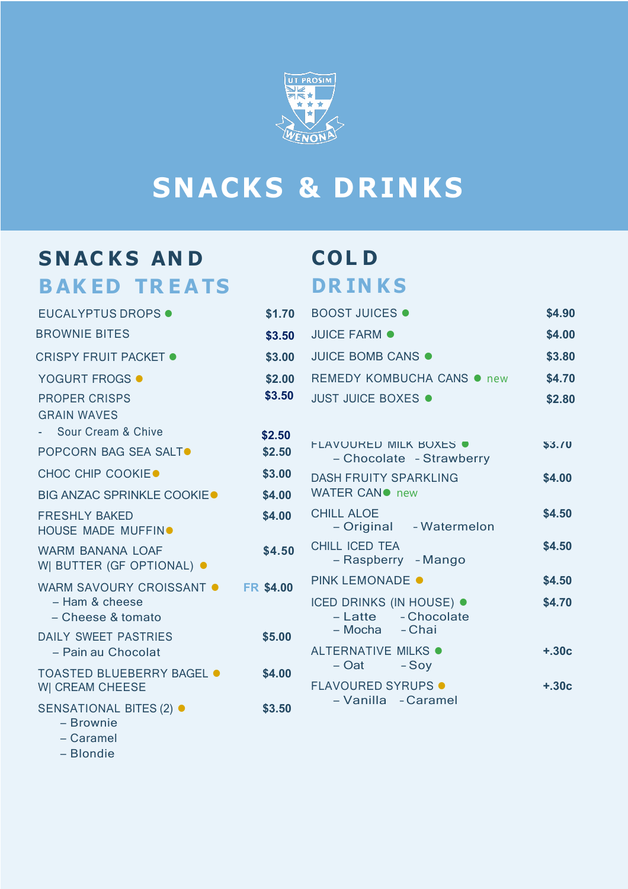

# **SNACKS & DRINKS**

## $S$  **NACKS** AND **B AK ED TR E A TS**

# **COL D DR IN K S**

| <b>EUCALYPTUS DROPS .</b>                              | \$1.70           | <b>BOOST JUICES ·</b>                                     | \$4.90  |
|--------------------------------------------------------|------------------|-----------------------------------------------------------|---------|
| <b>BROWNIE BITES</b>                                   | \$3.50           | <b>JUICE FARM ·</b>                                       | \$4.00  |
| <b>CRISPY FRUIT PACKET ●</b>                           | \$3.00           | JUICE BOMB CANS .                                         | \$3.80  |
| <b>YOGURT FROGS ●</b>                                  | \$2.00           | REMEDY KOMBUCHA CANS ● new                                | \$4.70  |
| <b>PROPER CRISPS</b>                                   | \$3.50           | <b>JUST JUICE BOXES .</b>                                 | \$2.80  |
| <b>GRAIN WAVES</b>                                     |                  |                                                           |         |
| Sour Cream & Chive                                     | \$2.50           |                                                           |         |
| <b>POPCORN BAG SEA SALT●</b>                           | \$2.50           | <b>FLAVOURED MILK BOXES ●</b><br>- Chocolate - Strawberry | \$3.70  |
| <b>CHOC CHIP COOKIE●</b>                               | \$3.00           | <b>DASH FRUITY SPARKLING</b>                              | \$4.00  |
| <b>BIG ANZAC SPRINKLE COOKIE●</b>                      | \$4.00           | WATER CANO new                                            |         |
| <b>FRESHLY BAKED</b><br>HOUSE MADE MUFFIN <sup>®</sup> | \$4.00           | <b>CHILL ALOE</b><br>- Original - Watermelon              | \$4.50  |
| <b>WARM BANANA LOAF</b><br>W  BUTTER (GF OPTIONAL) ●   | \$4.50           | <b>CHILL ICED TEA</b><br>- Raspberry - Mango              | \$4.50  |
| WARM SAVOURY CROISSANT .                               | <b>FR \$4.00</b> | <b>PINK LEMONADE ●</b>                                    | \$4.50  |
| - Ham & cheese<br>- Cheese & tomato                    |                  | <b>ICED DRINKS (IN HOUSE) ●</b><br>- Latte - Chocolate    | \$4.70  |
| <b>DAILY SWEET PASTRIES</b>                            | \$5.00           | – Mocha<br>- Chai                                         |         |
| - Pain au Chocolat                                     |                  | ALTERNATIVE MILKS .                                       | $+.30c$ |
| <b>TOASTED BLUEBERRY BAGEL ●</b><br>W  CREAM CHEESE    | \$4.00           | – Oat<br>$-Sov$<br><b>FLAVOURED SYRUPS ·</b>              | $+.30c$ |
| SENSATIONAL BITES (2) ●                                | \$3.50           | - Vanilla - Caramel                                       |         |
|                                                        |                  |                                                           |         |

– Brownie

– Caramel

– Blondie